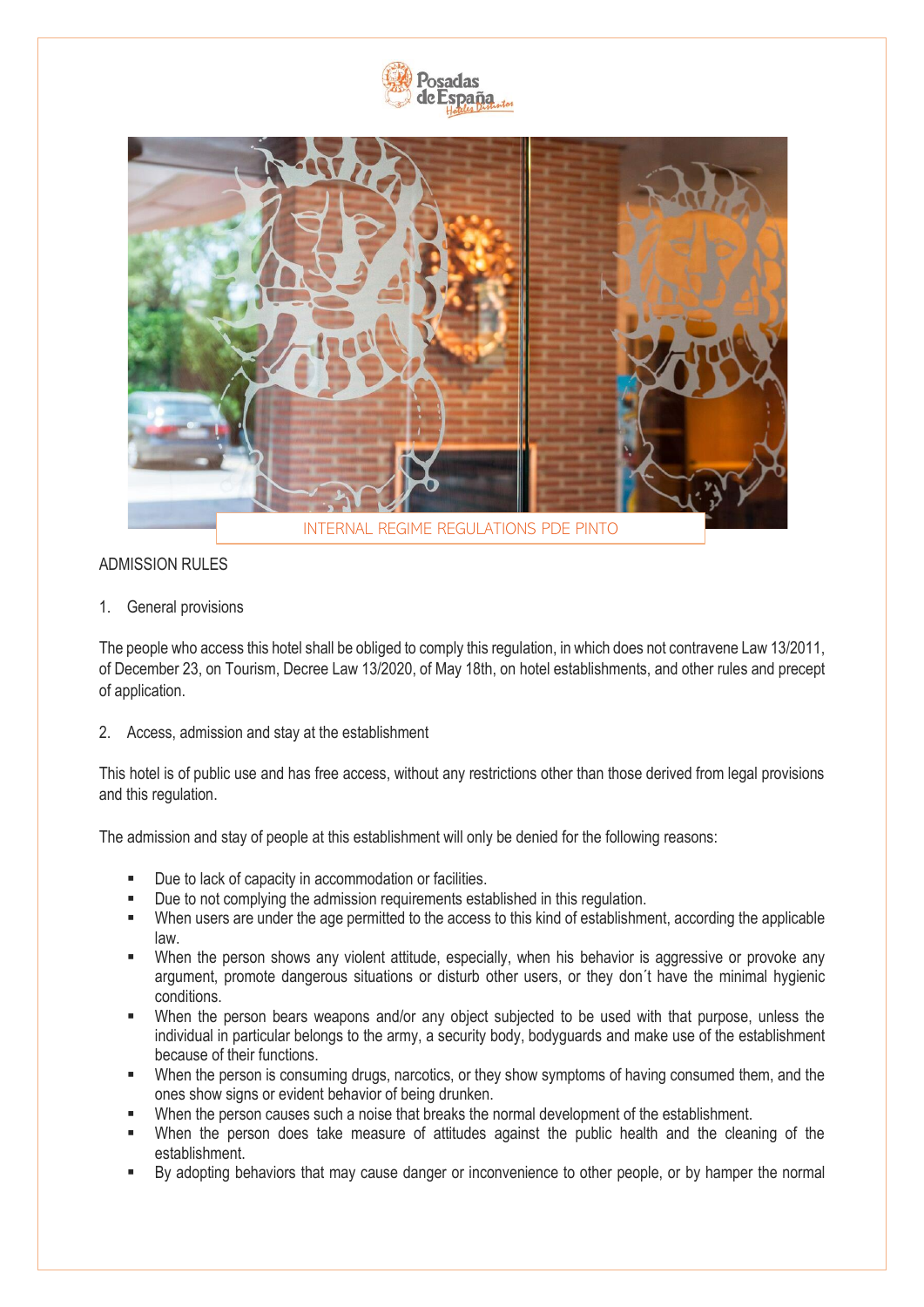



# ADMISSION RULES

1. General provisions

The people who access this hotel shall be obliged to comply this regulation, in which does not contravene Law 13/2011, of December 23, on Tourism, Decree Law 13/2020, of May 18th, on hotel establishments, and other rules and precept of application.

2. Access, admission and stay at the establishment

This hotel is of public use and has free access, without any restrictions other than those derived from legal provisions and this regulation.

The admission and stay of people at this establishment will only be denied for the following reasons:

- Due to lack of capacity in accommodation or facilities.
- Due to not complying the admission requirements established in this regulation.
- When users are under the age permitted to the access to this kind of establishment, according the applicable law.
- When the person shows any violent attitude, especially, when his behavior is aggressive or provoke any argument, promote dangerous situations or disturb other users, or they don´t have the minimal hygienic conditions.
- When the person bears weapons and/or any object subjected to be used with that purpose, unless the individual in particular belongs to the army, a security body, bodyguards and make use of the establishment because of their functions.
- When the person is consuming drugs, narcotics, or they show symptoms of having consumed them, and the ones show signs or evident behavior of being drunken.
- When the person causes such a noise that breaks the normal development of the establishment.
- When the person does take measure of attitudes against the public health and the cleaning of the establishment.
- By adopting behaviors that may cause danger or inconvenience to other people, or by hamper the normal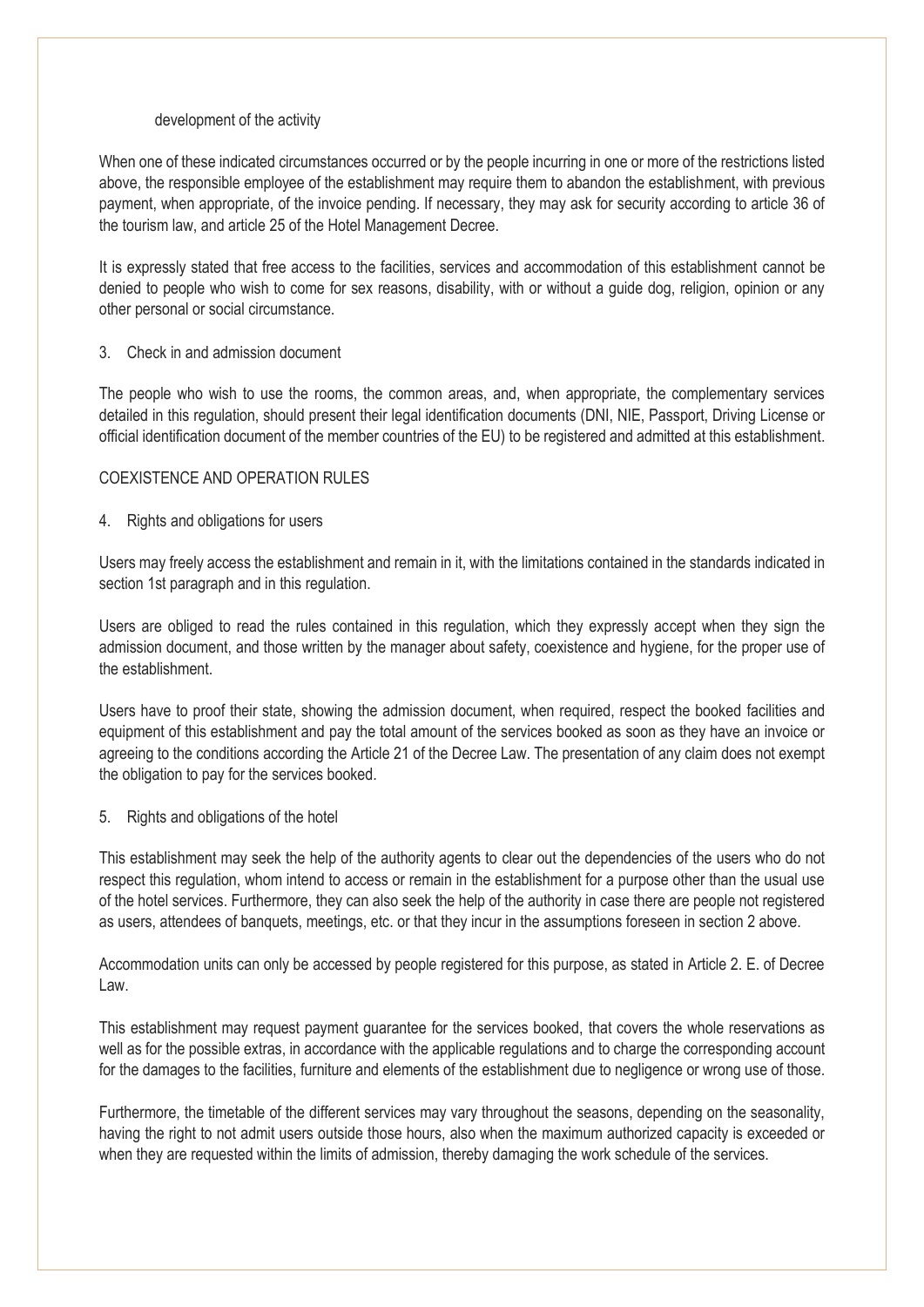#### development of the activity

When one of these indicated circumstances occurred or by the people incurring in one or more of the restrictions listed above, the responsible employee of the establishment may require them to abandon the establishment, with previous payment, when appropriate, of the invoice pending. If necessary, they may ask for security according to article 36 of the tourism law, and article 25 of the Hotel Management Decree.

It is expressly stated that free access to the facilities, services and accommodation of this establishment cannot be denied to people who wish to come for sex reasons, disability, with or without a guide dog, religion, opinion or any other personal or social circumstance.

### 3. Check in and admission document

The people who wish to use the rooms, the common areas, and, when appropriate, the complementary services detailed in this regulation, should present their legal identification documents (DNI, NIE, Passport, Driving License or official identification document of the member countries of the EU) to be registered and admitted at this establishment.

## COEXISTENCE AND OPERATION RULES

## 4. Rights and obligations for users

Users may freely access the establishment and remain in it, with the limitations contained in the standards indicated in section 1st paragraph and in this regulation.

Users are obliged to read the rules contained in this regulation, which they expressly accept when they sign the admission document, and those written by the manager about safety, coexistence and hygiene, for the proper use of the establishment.

Users have to proof their state, showing the admission document, when required, respect the booked facilities and equipment of this establishment and pay the total amount of the services booked as soon as they have an invoice or agreeing to the conditions according the Article 21 of the Decree Law. The presentation of any claim does not exempt the obligation to pay for the services booked.

### 5. Rights and obligations of the hotel

This establishment may seek the help of the authority agents to clear out the dependencies of the users who do not respect this regulation, whom intend to access or remain in the establishment for a purpose other than the usual use of the hotel services. Furthermore, they can also seek the help of the authority in case there are people not registered as users, attendees of banquets, meetings, etc. or that they incur in the assumptions foreseen in section 2 above.

Accommodation units can only be accessed by people registered for this purpose, as stated in Article 2. E. of Decree Law.

This establishment may request payment guarantee for the services booked, that covers the whole reservations as well as for the possible extras, in accordance with the applicable regulations and to charge the corresponding account for the damages to the facilities, furniture and elements of the establishment due to negligence or wrong use of those.

Furthermore, the timetable of the different services may vary throughout the seasons, depending on the seasonality, having the right to not admit users outside those hours, also when the maximum authorized capacity is exceeded or when they are requested within the limits of admission, thereby damaging the work schedule of the services.